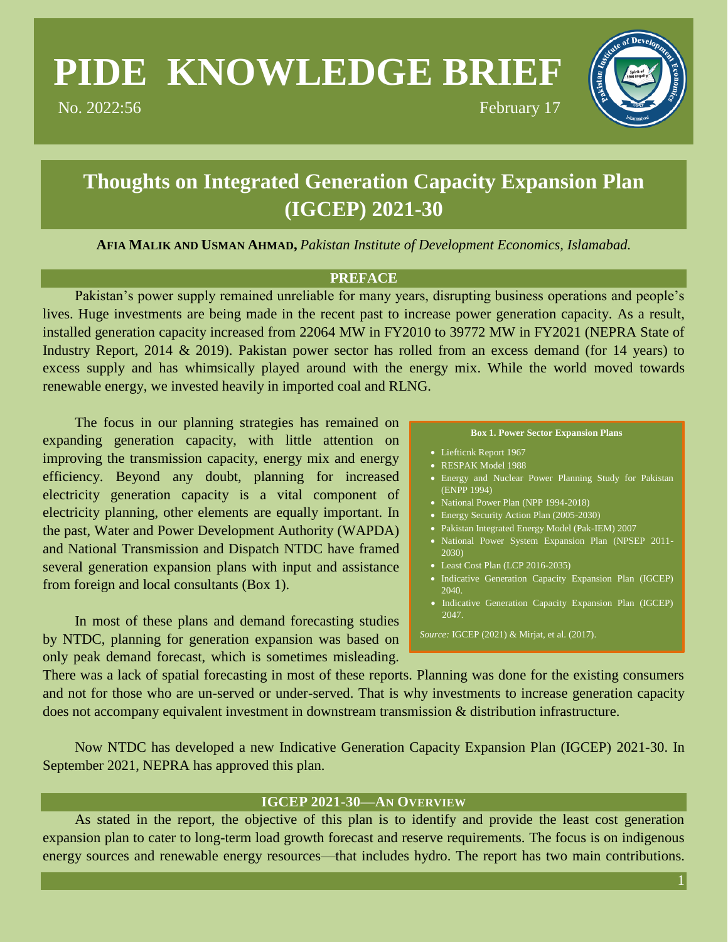# **PIDE KNOWLEDGE BRIEF**

No. 2022:56 February 17



## **Thoughts on Integrated Generation Capacity Expansion Plan (IGCEP) 2021-30**

**AFIA MALIK AND USMAN AHMAD,** *Pakistan Institute of Development Economics, Islamabad.*

#### **PREFACE**

Pakistan's power supply remained unreliable for many years, disrupting business operations and people's lives. Huge investments are being made in the recent past to increase power generation capacity. As a result, installed generation capacity increased from 22064 MW in FY2010 to 39772 MW in FY2021 (NEPRA State of Industry Report, 2014 & 2019). Pakistan power sector has rolled from an excess demand (for 14 years) to excess supply and has whimsically played around with the energy mix. While the world moved towards renewable energy, we invested heavily in imported coal and RLNG.

The focus in our planning strategies has remained on expanding generation capacity, with little attention on improving the transmission capacity, energy mix and energy efficiency. Beyond any doubt, planning for increased electricity generation capacity is a vital component of electricity planning, other elements are equally important. In the past, Water and Power Development Authority (WAPDA) and National Transmission and Dispatch NTDC have framed several generation expansion plans with input and assistance from foreign and local consultants (Box 1).

In most of these plans and demand forecasting studies by NTDC, planning for generation expansion was based on only peak demand forecast, which is sometimes misleading.

#### **Box 1. Power Sector Expansion Plans**

- Liefticnk Report 1967
- RESPAK Model 1988
- Energy and Nuclear Power Planning Study for Pakistan (ENPP 1994)
- National Power Plan (NPP 1994-2018)
- Energy Security Action Plan (2005-2030)
- Pakistan Integrated Energy Model (Pak-IEM) 2007
- National Power System Expansion Plan (NPSEP 2011- 2030)
- Least Cost Plan (LCP 2016-2035)
- $\bullet$  Indicative Generation Capacity Expansion Plan (IGCEP)  $2040$
- Indicative Generation Capacity Expansion Plan (IGCEP) 2047.

*Source:* IGCEP (2021) & Mirjat, et al. (2017).

There was a lack of spatial forecasting in most of these reports. Planning was done for the existing consumers and not for those who are un-served or under-served. That is why investments to increase generation capacity does not accompany equivalent investment in downstream transmission & distribution infrastructure.

Now NTDC has developed a new Indicative Generation Capacity Expansion Plan (IGCEP) 2021-30. In September 2021, NEPRA has approved this plan.

#### **IGCEP 2021-30—AN OVERVIEW**

As stated in the report, the objective of this plan is to identify and provide the least cost generation expansion plan to cater to long-term load growth forecast and reserve requirements. The focus is on indigenous energy sources and renewable energy resources—that includes hydro. The report has two main contributions.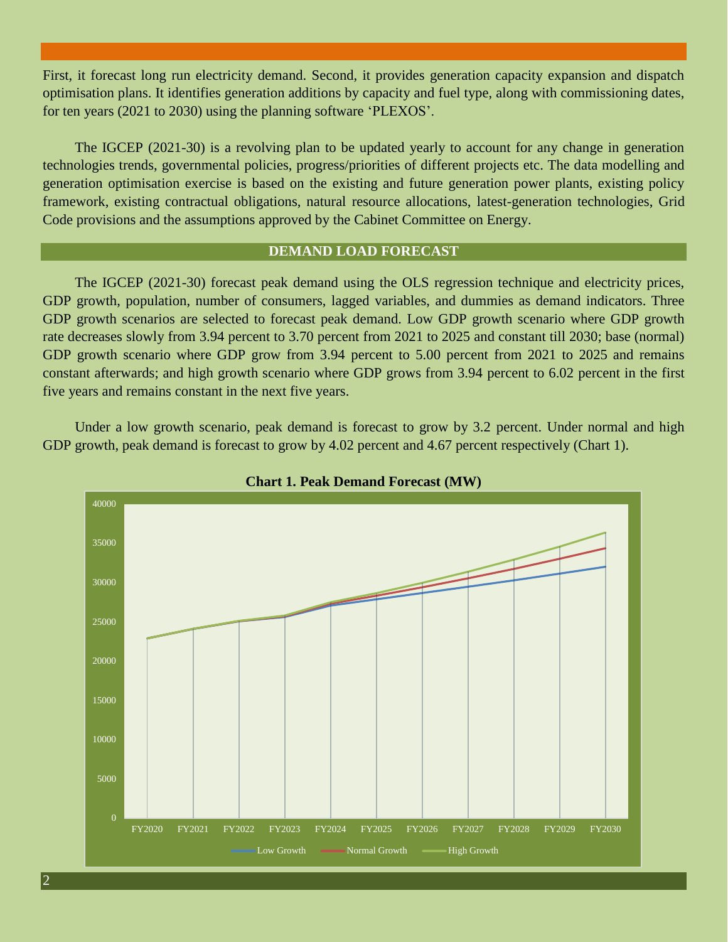First, it forecast long run electricity demand. Second, it provides generation capacity expansion and dispatch optimisation plans. It identifies generation additions by capacity and fuel type, along with commissioning dates, for ten years (2021 to 2030) using the planning software 'PLEXOS'.

The IGCEP (2021-30) is a revolving plan to be updated yearly to account for any change in generation technologies trends, governmental policies, progress/priorities of different projects etc. The data modelling and generation optimisation exercise is based on the existing and future generation power plants, existing policy framework, existing contractual obligations, natural resource allocations, latest-generation technologies, Grid Code provisions and the assumptions approved by the Cabinet Committee on Energy.

#### **DEMAND LOAD FORECAST**

The IGCEP (2021-30) forecast peak demand using the OLS regression technique and electricity prices, GDP growth, population, number of consumers, lagged variables, and dummies as demand indicators. Three GDP growth scenarios are selected to forecast peak demand. Low GDP growth scenario where GDP growth rate decreases slowly from 3.94 percent to 3.70 percent from 2021 to 2025 and constant till 2030; base (normal) GDP growth scenario where GDP grow from 3.94 percent to 5.00 percent from 2021 to 2025 and remains constant afterwards; and high growth scenario where GDP grows from 3.94 percent to 6.02 percent in the first five years and remains constant in the next five years.

Under a low growth scenario, peak demand is forecast to grow by 3.2 percent. Under normal and high GDP growth, peak demand is forecast to grow by 4.02 percent and 4.67 percent respectively (Chart 1).



**Chart 1. Peak Demand Forecast (MW)**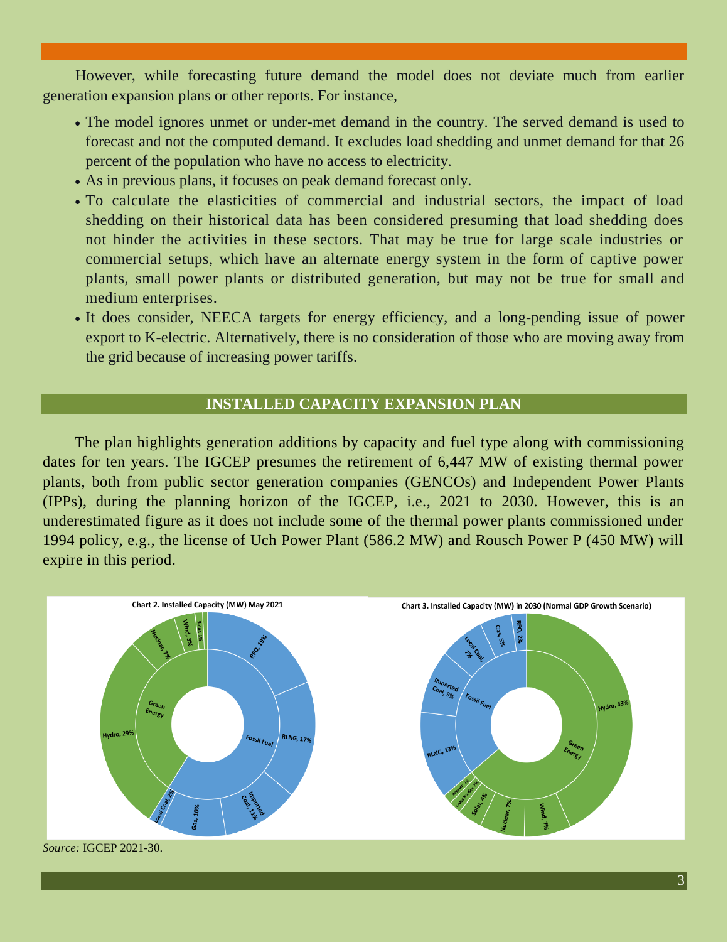However, while forecasting future demand the model does not deviate much from earlier generation expansion plans or other reports. For instance,

- The model ignores unmet or under-met demand in the country. The served demand is used to forecast and not the computed demand. It excludes load shedding and unmet demand for that 26 percent of the population who have no access to electricity.
- As in previous plans, it focuses on peak demand forecast only.
- To calculate the elasticities of commercial and industrial sectors, the impact of load shedding on their historical data has been considered presuming that load shedding does not hinder the activities in these sectors. That may be true for large scale industries or commercial setups, which have an alternate energy system in the form of captive power plants, small power plants or distributed generation, but may not be true for small and medium enterprises.
- It does consider, NEECA targets for energy efficiency, and a long-pending issue of power export to K-electric. Alternatively, there is no consideration of those who are moving away from the grid because of increasing power tariffs.

#### **INSTALLED CAPACITY EXPANSION PLAN**

The plan highlights generation additions by capacity and fuel type along with commissioning dates for ten years. The IGCEP presumes the retirement of 6,447 MW of existing thermal power plants, both from public sector generation companies (GENCOs) and Independent Power Plants (IPPs), during the planning horizon of the IGCEP, i.e., 2021 to 2030. However, this is an underestimated figure as it does not include some of the thermal power plants commissioned under 1994 policy, e.g., the license of Uch Power Plant (586.2 MW) and Rousch Power P (450 MW) will expire in this period.



*Source:* IGCEP 2021-30.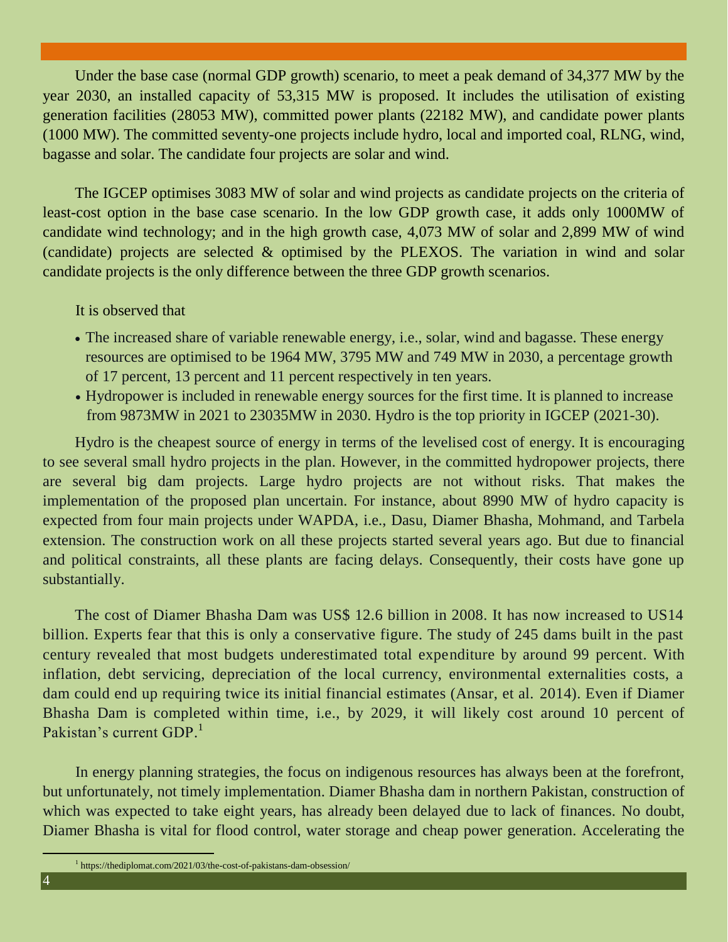Under the base case (normal GDP growth) scenario, to meet a peak demand of 34,377 MW by the year 2030, an installed capacity of 53,315 MW is proposed. It includes the utilisation of existing generation facilities (28053 MW), committed power plants (22182 MW), and candidate power plants (1000 MW). The committed seventy-one projects include hydro, local and imported coal, RLNG, wind, bagasse and solar. The candidate four projects are solar and wind.

The IGCEP optimises 3083 MW of solar and wind projects as candidate projects on the criteria of least-cost option in the base case scenario. In the low GDP growth case, it adds only 1000MW of candidate wind technology; and in the high growth case, 4,073 MW of solar and 2,899 MW of wind (candidate) projects are selected & optimised by the PLEXOS. The variation in wind and solar candidate projects is the only difference between the three GDP growth scenarios.

It is observed that

- The increased share of variable renewable energy, i.e., solar, wind and bagasse. These energy resources are optimised to be 1964 MW, 3795 MW and 749 MW in 2030, a percentage growth of 17 percent, 13 percent and 11 percent respectively in ten years.
- Hydropower is included in renewable energy sources for the first time. It is planned to increase from 9873MW in 2021 to 23035MW in 2030. Hydro is the top priority in IGCEP (2021-30).

Hydro is the cheapest source of energy in terms of the levelised cost of energy. It is encouraging to see several small hydro projects in the plan. However, in the committed hydropower projects, there are several big dam projects. Large hydro projects are not without risks. That makes the implementation of the proposed plan uncertain. For instance, about 8990 MW of hydro capacity is expected from four main projects under WAPDA, i.e., Dasu, Diamer Bhasha, Mohmand, and Tarbela extension. The construction work on all these projects started several years ago. But due to financial and political constraints, all these plants are facing delays. Consequently, their costs have gone up substantially.

The cost of Diamer Bhasha Dam was US\$ 12.6 billion in 2008. It has now increased to US14 billion. Experts fear that this is only a conservative figure. The study of 245 dams built in the past century revealed that most budgets underestimated total expenditure by around 99 percent. With inflation, debt servicing, depreciation of the local currency, environmental externalities costs, a dam could end up requiring twice its initial financial estimates (Ansar, et al. 2014). Even if Diamer Bhasha Dam is completed within time, i.e., by 2029, it will likely cost around 10 percent of Pakistan's current GDP.<sup>1</sup>

In energy planning strategies, the focus on indigenous resources has always been at the forefront, but unfortunately, not timely implementation. Diamer Bhasha dam in northern Pakistan, construction of which was expected to take eight years, has already been delayed due to lack of finances. No doubt, Diamer Bhasha is vital for flood control, water storage and cheap power generation. Accelerating the

<sup>1</sup> https://thediplomat.com/2021/03/the-cost-of-pakistans-dam-obsession/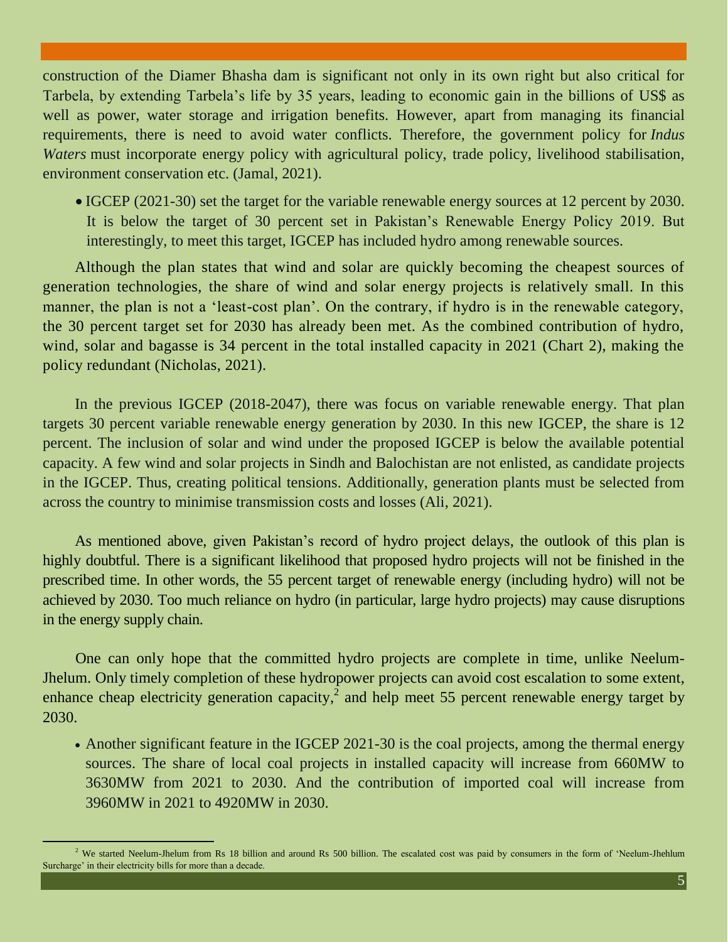construction of the Diamer Bhasha dam is significant not only in its own right but also critical for Tarbela, by extending Tarbela's life by 35 years, leading to economic gain in the billions of US\$ as well as power, water storage and irrigation benefits. However, apart from managing its financial requirements, there is need to avoid water conflicts. Therefore, the government policy for *Indus Waters* must incorporate energy policy with agricultural policy, trade policy, livelihood stabilisation, environment conservation etc. (Jamal, 2021).

 IGCEP (2021-30) set the target for the variable renewable energy sources at 12 percent by 2030. It is below the target of 30 percent set in Pakistan's Renewable Energy Policy 2019. But interestingly, to meet this target, IGCEP has included hydro among renewable sources.

Although the plan states that wind and solar are quickly becoming the cheapest sources of generation technologies, the share of wind and solar energy projects is relatively small. In this manner, the plan is not a 'least-cost plan'. On the contrary, if hydro is in the renewable category, the 30 percent target set for 2030 has already been met. As the combined contribution of hydro, wind, solar and bagasse is 34 percent in the total installed capacity in 2021 (Chart 2), making the policy redundant (Nicholas, 2021).

In the previous IGCEP (2018-2047), there was focus on variable renewable energy. That plan targets 30 percent variable renewable energy generation by 2030. In this new IGCEP, the share is 12 percent. The inclusion of solar and wind under the proposed IGCEP is below the available potential capacity. A few wind and solar projects in Sindh and Balochistan are not enlisted, as candidate projects in the IGCEP. Thus, creating political tensions. Additionally, generation plants must be selected from across the country to minimise transmission costs and losses (Ali, 2021).

As mentioned above, given Pakistan's record of hydro project delays, the outlook of this plan is highly doubtful. There is a significant likelihood that proposed hydro projects will not be finished in the prescribed time. In other words, the 55 percent target of renewable energy (including hydro) will not be achieved by 2030. Too much reliance on hydro (in particular, large hydro projects) may cause disruptions in the energy supply chain.

One can only hope that the committed hydro projects are complete in time, unlike Neelum-Jhelum. Only timely completion of these hydropower projects can avoid cost escalation to some extent, enhance cheap electricity generation capacity,<sup>2</sup> and help meet 55 percent renewable energy target by 2030.

• Another significant feature in the IGCEP 2021-30 is the coal projects, among the thermal energy sources. The share of local coal projects in installed capacity will increase from 660MW to 3630MW from 2021 to 2030. And the contribution of imported coal will increase from 3960MW in 2021 to 4920MW in 2030.

<sup>&</sup>lt;sup>2</sup> We started Neelum-Jhelum from Rs 18 billion and around Rs 500 billion. The escalated cost was paid by consumers in the form of 'Neelum-Jhehlum Surcharge' in their electricity bills for more than a decade.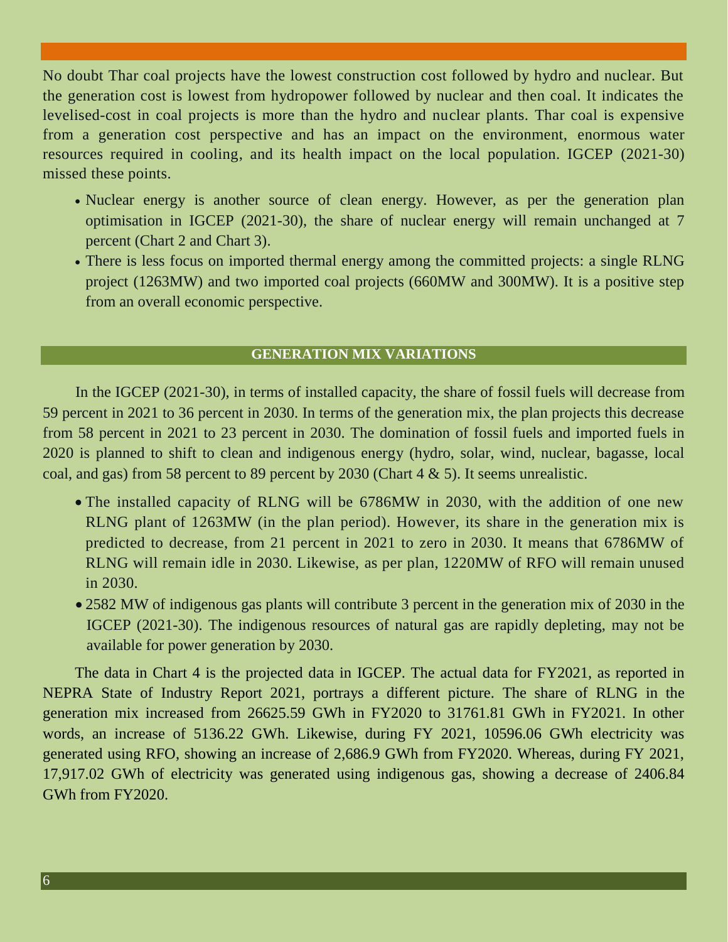No doubt Thar coal projects have the lowest construction cost followed by hydro and nuclear. But the generation cost is lowest from hydropower followed by nuclear and then coal. It indicates the levelised-cost in coal projects is more than the hydro and nuclear plants. Thar coal is expensive from a generation cost perspective and has an impact on the environment, enormous water resources required in cooling, and its health impact on the local population. IGCEP (2021-30) missed these points.

- Nuclear energy is another source of clean energy. However, as per the generation plan optimisation in IGCEP (2021-30), the share of nuclear energy will remain unchanged at 7 percent (Chart 2 and Chart 3).
- There is less focus on imported thermal energy among the committed projects: a single RLNG project (1263MW) and two imported coal projects (660MW and 300MW). It is a positive step from an overall economic perspective.

#### **GENERATION MIX VARIATIONS**

In the IGCEP (2021-30), in terms of installed capacity, the share of fossil fuels will decrease from 59 percent in 2021 to 36 percent in 2030. In terms of the generation mix, the plan projects this decrease from 58 percent in 2021 to 23 percent in 2030. The domination of fossil fuels and imported fuels in 2020 is planned to shift to clean and indigenous energy (hydro, solar, wind, nuclear, bagasse, local coal, and gas) from 58 percent to 89 percent by 2030 (Chart 4 & 5). It seems unrealistic.

- The installed capacity of RLNG will be 6786MW in 2030, with the addition of one new RLNG plant of 1263MW (in the plan period). However, its share in the generation mix is predicted to decrease, from 21 percent in 2021 to zero in 2030. It means that 6786MW of RLNG will remain idle in 2030. Likewise, as per plan, 1220MW of RFO will remain unused in 2030.
- 2582 MW of indigenous gas plants will contribute 3 percent in the generation mix of 2030 in the IGCEP (2021-30). The indigenous resources of natural gas are rapidly depleting, may not be available for power generation by 2030.

The data in Chart 4 is the projected data in IGCEP. The actual data for FY2021, as reported in NEPRA State of Industry Report 2021, portrays a different picture. The share of RLNG in the generation mix increased from 26625.59 GWh in FY2020 to 31761.81 GWh in FY2021. In other words, an increase of 5136.22 GWh. Likewise, during FY 2021, 10596.06 GWh electricity was generated using RFO, showing an increase of 2,686.9 GWh from FY2020. Whereas, during FY 2021, 17,917.02 GWh of electricity was generated using indigenous gas, showing a decrease of 2406.84 GWh from FY2020.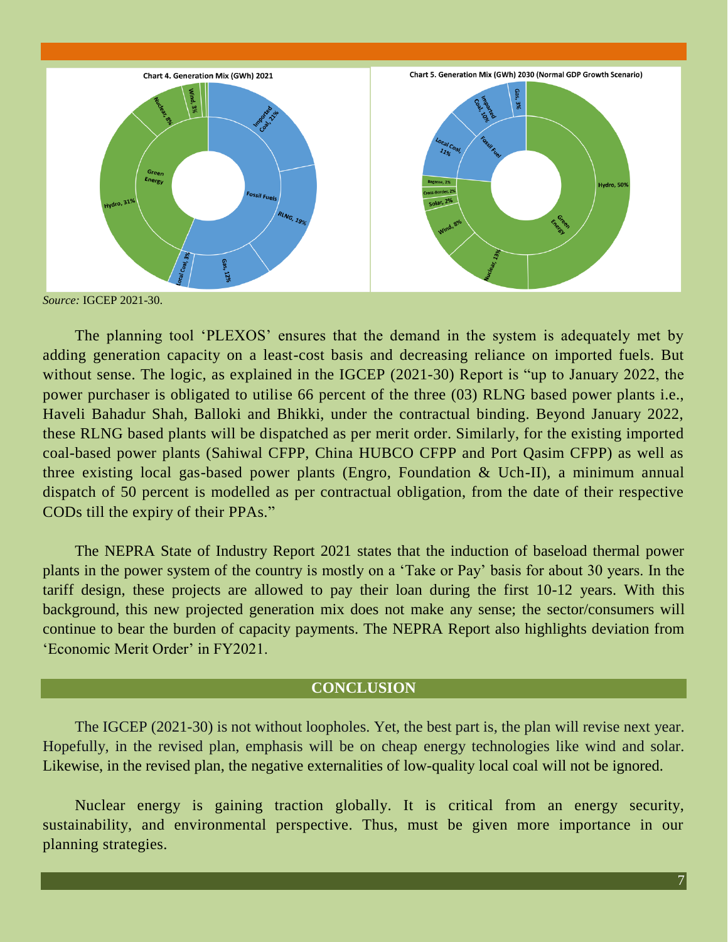

*Source:* IGCEP 2021-30.

The planning tool 'PLEXOS' ensures that the demand in the system is adequately met by adding generation capacity on a least-cost basis and decreasing reliance on imported fuels. But without sense. The logic, as explained in the IGCEP (2021-30) Report is "up to January 2022, the power purchaser is obligated to utilise 66 percent of the three (03) RLNG based power plants i.e., Haveli Bahadur Shah, Balloki and Bhikki, under the contractual binding. Beyond January 2022, these RLNG based plants will be dispatched as per merit order. Similarly, for the existing imported coal-based power plants (Sahiwal CFPP, China HUBCO CFPP and Port Qasim CFPP) as well as three existing local gas-based power plants (Engro, Foundation & Uch-II), a minimum annual dispatch of 50 percent is modelled as per contractual obligation, from the date of their respective CODs till the expiry of their PPAs."

The NEPRA State of Industry Report 2021 states that the induction of baseload thermal power plants in the power system of the country is mostly on a 'Take or Pay' basis for about 30 years. In the tariff design, these projects are allowed to pay their loan during the first 10-12 years. With this background, this new projected generation mix does not make any sense; the sector/consumers will continue to bear the burden of capacity payments. The NEPRA Report also highlights deviation from 'Economic Merit Order' in FY2021.

#### **CONCLUSION**

The IGCEP (2021-30) is not without loopholes. Yet, the best part is, the plan will revise next year. Hopefully, in the revised plan, emphasis will be on cheap energy technologies like wind and solar. Likewise, in the revised plan, the negative externalities of low-quality local coal will not be ignored.

Nuclear energy is gaining traction globally. It is critical from an energy security, sustainability, and environmental perspective. Thus, must be given more importance in our planning strategies.